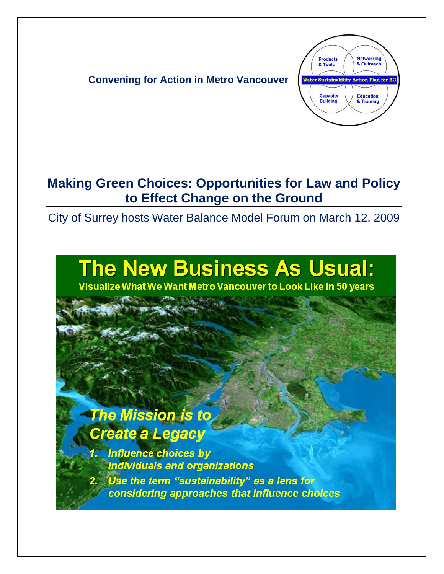

## **Making Green Choices: Opportunities for Law and Policy to Effect Change on the Ground**

City of Surrey hosts Water Balance Model Forum on March 12, 2009

## **The New Business As Usual:**

Visualize What We Want Metro Vancouver to Look Like in 50 years

## **The Mission is to** Create a Legacy

**Influence choices by** individuals and organizations Use the term "sustainability" as a lens for considering approaches that influence choices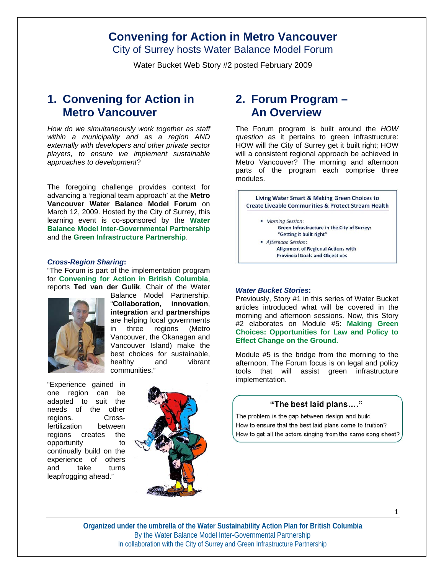City of Surrey hosts Water Balance Model Forum

Water Bucket Web Story #2 posted February 2009

## **1. Convening for Action in Metro Vancouver**

*How do we simultaneously work together as staff within a municipality and as a region AND externally with developers and other private sector players, to ensure we implement sustainable approaches to development*?

The foregoing challenge provides context for advancing a 'regional team approach' at the **Metro Vancouver Water Balance Model Forum** on March 12, 2009. Hosted by the City of Surrey, this learning event is co-sponsored by the **Water Balance Model Inter-Governmental Partnership** and the **Green Infrastructure Partnership**.

#### *Cross-Region Sharing***:**

"The Forum is part of the implementation program for **Convening for Action in British Columbia**, reports **Ted van der Gulik**, Chair of the Water



Balance Model Partnership. "**Collaboration, innovation**, **integration** and **partnerships** are helping local governments in three regions (Metro Vancouver, the Okanagan and Vancouver Island) make the best choices for sustainable, healthy and vibrant communities."

"Experience gained in one region can be adapted to suit the needs of the other regions. Crossfertilization between regions creates the opportunity to continually build on the experience of others and take turns leapfrogging ahead."



## **2. Forum Program – An Overview**

The Forum program is built around the *HOW question* as it pertains to green infrastructure: HOW will the City of Surrey get it built right; HOW will a consistent regional approach be achieved in Metro Vancouver? The morning and afternoon parts of the program each comprise three modules.



#### *Water Bucket Stories***:**

Previously, Story #1 in this series of Water Bucket articles introduced what will be covered in the morning and afternoon sessions. Now, this Story #2 elaborates on Module #5: **Making Green Choices: Opportunities for Law and Policy to Effect Change on the Ground.** 

Module #5 is the bridge from the morning to the afternoon. The Forum focus is on legal and policy tools that will assist green infrastructure implementation.

#### "The best laid plans...."

The problem is the gap between design and build How to ensure that the best laid plans come to fruition? How to get all the actors singing from the same song sheet?

**Organized under the umbrella of the Water Sustainability Action Plan for British Columbia**  By the Water Balance Model Inter-Governmental Partnership In collaboration with the City of Surrey and Green Infrastructure Partnership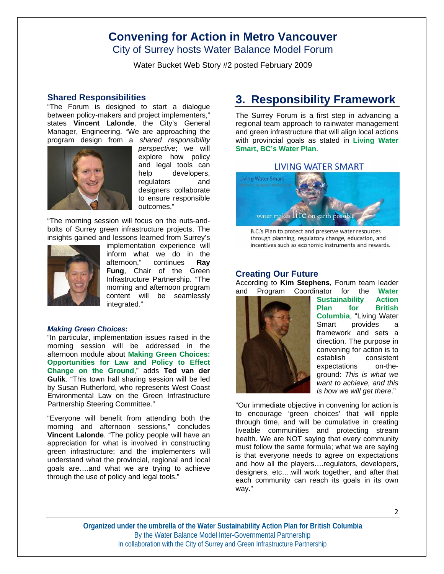City of Surrey hosts Water Balance Model Forum

Water Bucket Web Story #2 posted February 2009

#### **Shared Responsibilities**

"The Forum is designed to start a dialogue between policy-makers and project implementers," states **Vincent Lalonde**, the City's General Manager, Engineering. "We are approaching the program design from a *shared responsibility* 



*perspective*; we will explore how policy and legal tools can help developers, regulators and designers collaborate to ensure responsible outcomes."

"The morning session will focus on the nuts-andbolts of Surrey green infrastructure projects. The insights gained and lessons learned from Surrey's



implementation experience will inform what we do in the afternoon," continues **Ray Fung**, Chair of the Green Infrastructure Partnership. "The morning and afternoon program content will be seamlessly integrated."

#### *Making Green Choices***:**

"In particular, implementation issues raised in the morning session will be addressed in the afternoon module about **Making Green Choices: Opportunities for Law and Policy to Effect Change on the Ground**," adds **Ted van der Gulik**. "This town hall sharing session will be led by Susan Rutherford, who represents West Coast Environmental Law on the Green Infrastructure Partnership Steering Committee."

"Everyone will benefit from attending both the morning and afternoon sessions," concludes **Vincent Lalonde**. "The policy people will have an appreciation for what is involved in constructing green infrastructure; and the implementers will understand what the provincial, regional and local goals are….and what we are trying to achieve through the use of policy and legal tools."

## **3. Responsibility Framework**

The Surrey Forum is a first step in advancing a regional team approach to rainwater management and green infrastructure that will align local actions with provincial goals as stated in **Living Water Smart, BC's Water Plan**.

#### LIVING WATER SMART



B.C.'s Plan to protect and preserve water resources through planning, regulatory change, education, and incentives such as economic instruments and rewards.

#### **Creating Our Future**

According to **Kim Stephens**, Forum team leader and Program Coordinator for the **Water** 



**Sustainability Action Plan for British Columbia**, "Living Water Smart provides a framework and sets a direction. The purpose in convening for action is to establish consistent expectations on-theground: *This is what we want to achieve, and this is how we will get there*."

"Our immediate objective in convening for action is to encourage 'green choices' that will ripple through time, and will be cumulative in creating liveable communities and protecting stream health. We are NOT saying that every community must follow the same formula; what we are saying is that everyone needs to agree on expectations and how all the players….regulators, developers, designers, etc….will work together, and after that each community can reach its goals in its own way."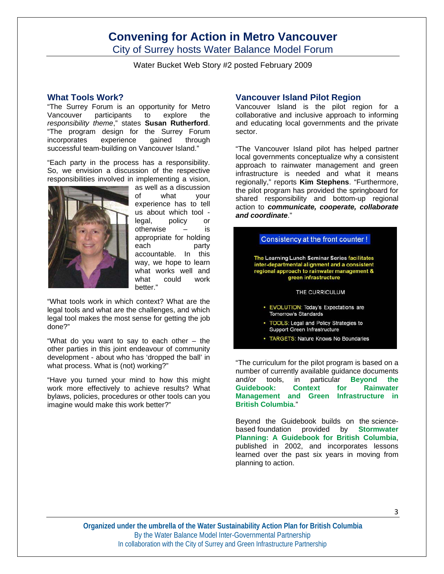City of Surrey hosts Water Balance Model Forum

Water Bucket Web Story #2 posted February 2009

#### **What Tools Work?**

"The Surrey Forum is an opportunity for Metro Vancouver participants to explore the *responsibility theme*," states **Susan Rutherford**. "The program design for the Surrey Forum incorporates experience gained through successful team-building on Vancouver Island."

"Each party in the process has a responsibility. So, we envision a discussion of the respective responsibilities involved in implementing a vision,



as well as a discussion<br>of what vour what your experience has to tell us about which tool legal, policy or otherwise – is appropriate for holding each party accountable. In this way, we hope to learn what works well and what could work better."

"What tools work in which context? What are the legal tools and what are the challenges, and which legal tool makes the most sense for getting the job done?"

"What do you want to say to each other – the other parties in this joint endeavour of community development - about who has 'dropped the ball' in what process. What is (not) working?"

"Have you turned your mind to how this might work more effectively to achieve results? What bylaws, policies, procedures or other tools can you imagine would make this work better?"

#### **Vancouver Island Pilot Region**

Vancouver Island is the pilot region for a collaborative and inclusive approach to informing and educating local governments and the private sector.

"The Vancouver Island pilot has helped partner local governments conceptualize why a consistent approach to rainwater management and green infrastructure is needed and what it means regionally," reports **Kim Stephens**. "Furthermore, the pilot program has provided the springboard for shared responsibility and bottom-up regional action to *communicate, cooperate, collaborate and coordinate*."



"The curriculum for the pilot program is based on a number of currently available guidance documents and/or tools, in particular **Beyond the Guidebook: Context for Rainwater Management and Green Infrastructure in British Columbia**."

Beyond the Guidebook builds on the sciencebased foundation provided by **Stormwater Planning: A Guidebook for British Columbia**, published in 2002, and incorporates lessons learned over the past six years in moving from planning to action.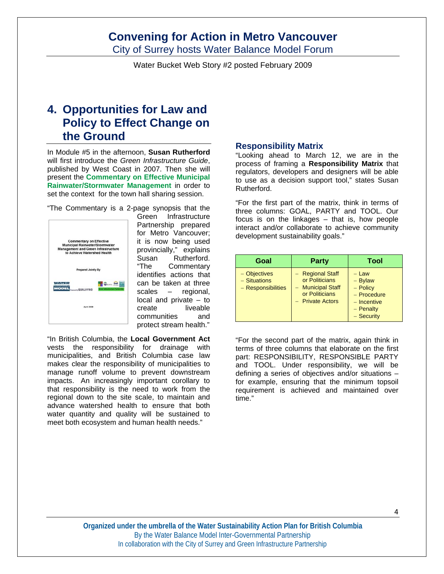City of Surrey hosts Water Balance Model Forum

Water Bucket Web Story #2 posted February 2009

## **4. Opportunities for Law and Policy to Effect Change on the Ground**

In Module #5 in the afternoon, **Susan Rutherford** will first introduce the *Green Infrastructure Guide*, published by West Coast in 2007. Then she will present the **Commentary on Effective Municipal Rainwater/Stormwater Management** in order to set the context for the town hall sharing session.

"The Commentary is a 2-page synopsis that the



Green Infrastructure Partnership prepared for Metro Vancouver; it is now being used provincially," explains Susan Rutherford. "The Commentary identifies actions that can be taken at three scales – regional, local and private – to create liveable communities and protect stream health."

"In British Columbia, the **Local Government Act** vests the responsibility for drainage with municipalities, and British Columbia case law makes clear the responsibility of municipalities to manage runoff volume to prevent downstream impacts. An increasingly important corollary to that responsibility is the need to work from the regional down to the site scale, to maintain and advance watershed health to ensure that both water quantity and quality will be sustained to meet both ecosystem and human health needs."

#### **Responsibility Matrix**

"Looking ahead to March 12, we are in the process of framing a **Responsibility Matrix** that regulators, developers and designers will be able to use as a decision support tool," states Susan Rutherford.

"For the first part of the matrix, think in terms of three columns: GOAL, PARTY and TOOL. Our focus is on the linkages – that is, how people interact and/or collaborate to achieve community development sustainability goals."

| Goal                                               | <b>Party</b>                                                                                  | Tool                                                                                            |
|----------------------------------------------------|-----------------------------------------------------------------------------------------------|-------------------------------------------------------------------------------------------------|
| - Objectives<br>- Situations<br>- Responsibilities | - Regional Staff<br>or Politicians<br>- Municipal Staff<br>or Politicians<br>- Private Actors | $-$ Law<br>$-$ Bylaw<br>$-$ Policy<br>- Procedure<br>$-$ Incentive<br>$-$ Penalty<br>- Security |

"For the second part of the matrix, again think in terms of three columns that elaborate on the first part: RESPONSIBILITY, RESPONSIBLE PARTY and TOOL. Under responsibility, we will be defining a series of objectives and/or situations – for example, ensuring that the minimum topsoil requirement is achieved and maintained over time."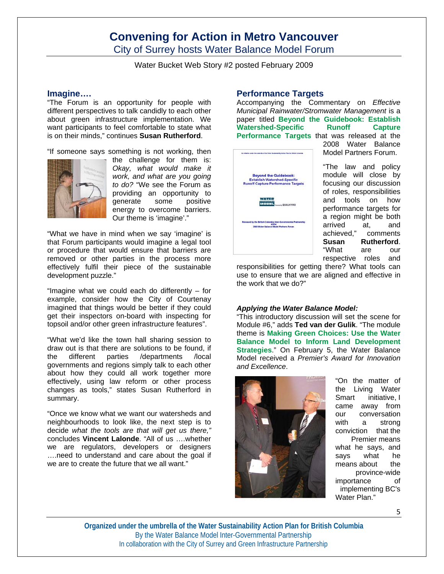City of Surrey hosts Water Balance Model Forum

Water Bucket Web Story #2 posted February 2009

#### **Imagine….**

"The Forum is an opportunity for people with different perspectives to talk candidly to each other about green infrastructure implementation. We want participants to feel comfortable to state what is on their minds," continues **Susan Rutherford**.

"If someone says something is not working, then



the challenge for them is: *Okay, what would make it work, and what are you going to do?* "We see the Forum as providing an opportunity to generate some positive energy to overcome barriers. Our theme is 'imagine'."

"What we have in mind when we say 'imagine' is that Forum participants would imagine a legal tool or procedure that would ensure that barriers are removed or other parties in the process more effectively fulfil their piece of the sustainable development puzzle."

"Imagine what we could each do differently – for example, consider how the City of Courtenay imagined that things would be better if they could get their inspectors on-board with inspecting for topsoil and/or other green infrastructure features".

"What we'd like the town hall sharing session to draw out is that there are solutions to be found, if the different parties /departments /local governments and regions simply talk to each other about how they could all work together more effectively, using law reform or other process changes as tools," states Susan Rutherford in summary.

"Once we know what we want our watersheds and neighbourhoods to look like, the next step is to decide *what the tools are that will get us there,"* concludes **Vincent Lalonde**. "All of us ….whether we are regulators, developers or designers ….need to understand and care about the goal if we are to create the future that we all want."

#### **Performance Targets**

Accompanying the Commentary on *Effective Municipal Rainwater/Stromwater Management* is a paper titled **Beyond the Guidebook: Establish Watershed-Specific Runoff Capture Performance Targets** that was released at the



2008 Water Balance Model Partners Forum.

"The law and policy module will close by focusing our discussion of roles, responsibilities and tools on how performance targets for a region might be both arrived at, and achieved," comments **Susan Rutherford**. "What are our respective roles and

responsibilities for getting there? What tools can use to ensure that we are aligned and effective in the work that we do?"

#### *Applying the Water Balance Model:*

"This introductory discussion will set the scene for Module #6," adds **Ted van der Gulik**. "The module theme is **Making Green Choices: Use the Water Balance Model to Inform Land Development Strategies**." On February 5, the Water Balance Model received a *Premier's Award for Innovation and Excellence*.



"On the matter of the Living Water Smart initiative, I came away from our conversation with a strong conviction that the Premier means what he says, and says what he means about the province-wide importance of implementing BC's Water Plan."

5

**Organized under the umbrella of the Water Sustainability Action Plan for British Columbia**  By the Water Balance Model Inter-Governmental Partnership In collaboration with the City of Surrey and Green Infrastructure Partnership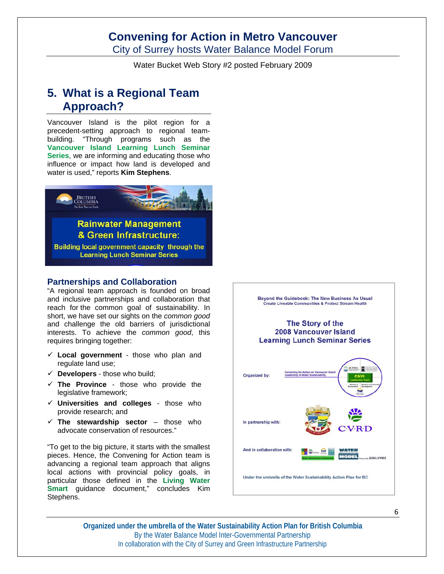City of Surrey hosts Water Balance Model Forum

Water Bucket Web Story #2 posted February 2009

## **5. What is a Regional Team Approach?**

Vancouver Island is the pilot region for a precedent-setting approach to regional teambuilding. "Through programs such as the **Vancouver Island Learning Lunch Seminar Series**, we are informing and educating those who influence or impact how land is developed and water is used," reports **Kim Stephens**.



#### **Partnerships and Collaboration**

"A regional team approach is founded on broad and inclusive partnerships and collaboration that reach for the common goal of sustainability. In short, we have set our sights on the *common good* and challenge the old barriers of jurisdictional interests. To achieve the *common good*, this requires bringing together:

- **Local government** those who plan and regulate land use;
- **Developers**  those who build;
- **The Province** those who provide the legislative framework;
- **Universities and colleges** those who provide research; and
- $\checkmark$  The stewardship sector those who advocate conservation of resources."

"To get to the big picture, it starts with the smallest pieces. Hence, the Convening for Action team is advancing a regional team approach that aligns local actions with provincial policy goals, in particular those defined in the **Living Water Smart** guidance document," concludes Kim Stephens.



**Organized under the umbrella of the Water Sustainability Action Plan for British Columbia**  By the Water Balance Model Inter-Governmental Partnership In collaboration with the City of Surrey and Green Infrastructure Partnership